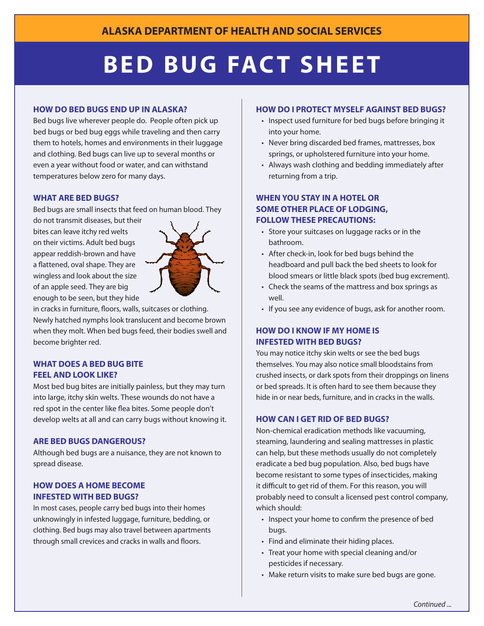# **BED BUG FACT SHEET**

#### **How Do BeD Bugs enD up in AlAskA?**

Bed bugs live wherever people do. People often pick up bed bugs or bed bug eggs while traveling and then carry them to hotels, homes and environments in their luggage and clothing. Bed bugs can live up to several months or even a year without food or water, and can withstand temperatures below zero for many days.

#### **wHAt Are BeD Bugs?**

Bed bugs are small insects that feed on human blood. They

do not transmit diseases, but their bites can leave itchy red welts on their victims. Adult bed bugs appear reddish-brown and have a flattened, oval shape. They are wingless and look about the size of an apple seed. They are big enough to be seen, but they hide



in cracks in furniture, floors, walls, suitcases or clothing. Newly hatched nymphs look translucent and become brown when they molt. When bed bugs feed, their bodies swell and become brighter red.

## **wHAt Does A BeD Bug Bite feel AnD look like?**

Most bed bug bites are initially painless, but they may turn into large, itchy skin welts. These wounds do not have a red spot in the center like flea bites. Some people don't develop welts at all and can carry bugs without knowing it.

#### **Are BeD Bugs DAngerous?**

Although bed bugs are a nuisance, they are not known to spread disease.

## **How Does A Home Become infesteD witH BeD Bugs?**

In most cases, people carry bed bugs into their homes unknowingly in infested luggage, furniture, bedding, or clothing. Bed bugs may also travel between apartments through small crevices and cracks in walls and floors.

#### **How Do i protect myself AgAinst BeD Bugs?**

- Inspect used furniture for bed bugs before bringing it into your home.
- Never bring discarded bed frames, mattresses, box springs, or upholstered furniture into your home.
- Always wash clothing and bedding immediately after returning from a trip.

## **wHen you stAy in A Hotel or some otHer plAce of loDging, follow tHese precAutions:**

- Store your suitcases on luggage racks or in the bathroom.
- After check-in, look for bed bugs behind the headboard and pull back the bed sheets to look for blood smears or little black spots (bed bug excrement).
- Check the seams of the mattress and box springs as well.
- If you see any evidence of bugs, ask for another room.

## **How Do i know if my Home is infesteD witH BeD Bugs?**

You may notice itchy skin welts or see the bed bugs themselves. You may also notice small bloodstains from crushed insects, or dark spots from their droppings on linens or bed spreads. It is often hard to see them because they hide in or near beds, furniture, and in cracks in the walls.

#### **How cAn i get riD of BeD Bugs?**

Non-chemical eradication methods like vacuuming, steaming, laundering and sealing mattresses in plastic can help, but these methods usually do not completely eradicate a bed bug population. Also, bed bugs have become resistant to some types of insecticides, making it difficult to get rid of them. For this reason, you will probably need to consult a licensed pest control company, which should:

- Inspect your home to confirm the presence of bed bugs.
- Find and eliminate their hiding places.
- Treat your home with special cleaning and/or pesticides if necessary.
- Make return visits to make sure bed bugs are gone.